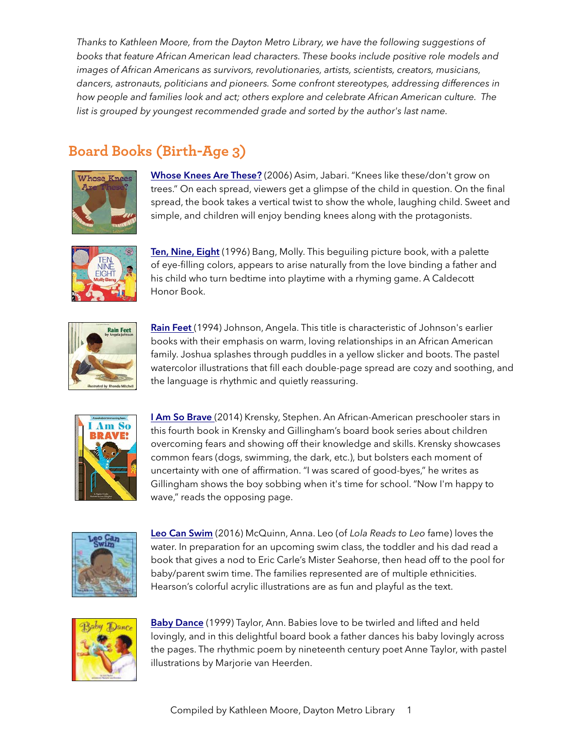*Thanks to Kathleen Moore, from the Dayton Metro Library, we have the following suggestions of books that feature African American lead characters. These books include positive role models and images of African Americans as survivors, revolutionaries, artists, scientists, creators, musicians, dancers, astronauts, politicians and pioneers. Some confront stereotypes, addressing differences in how people and families look and act; others explore and celebrate African American culture. The list is grouped by youngest recommended grade and sorted by the author's last name.*

# **Board Books (Birth-Age 3)**



[Whose Knees Are These?](https://www.amazon.com/Whose-Knees-These-Jabari-Asim/dp/0316735760/) (2006) Asim, Jabari. "Knees like these/don't grow on trees." On each spread, viewers get a glimpse of the child in question. On the final spread, the book takes a vertical twist to show the whole, laughing child. Sweet and simple, and children will enjoy bending knees along with the protagonists.



[Ten, Nine, Eight](https://www.amazon.com/Nine-Eight-Board-Caldecott-Collection/dp/0688149014/) (1996) Bang, Molly. This beguiling picture book, with a palette of eye-filling colors, appears to arise naturally from the love binding a father and his child who turn bedtime into playtime with a rhyming game. A Caldecott Honor Book.



[Rain Feet](https://www.amazon.com/Rain-Feet-Angela-Johnson/dp/0531068498/) (1994) Johnson, Angela. This title is characteristic of Johnson's earlier books with their emphasis on warm, loving relationships in an African American family. Joshua splashes through puddles in a yellow slicker and boots. The pastel watercolor illustrations that fill each double-page spread are cozy and soothing, and the language is rhythmic and quietly reassuring.



**I [Am So Brave](https://www.amazon.com/I-Am-So-Brave-Empowerment/dp/1419709372/)** (2014) Krensky, Stephen. An African-American preschooler stars in this fourth book in Krensky and Gillingham's board book series about children overcoming fears and showing off their knowledge and skills. Krensky showcases common fears (dogs, swimming, the dark, etc.), but bolsters each moment of uncertainty with one of affirmation. "I was scared of good-byes," he writes as Gillingham shows the boy sobbing when it's time for school. "Now I'm happy to wave," reads the opposing page.



[Leo Can Swim](https://www.amazon.com/Leo-Can-Swim-Anna-McQuinn/dp/1580897258/) (2016) McQuinn, Anna. Leo (of *Lola Reads to Leo* fame) loves the water. In preparation for an upcoming swim class, the toddler and his dad read a book that gives a nod to Eric Carle's Mister Seahorse, then head off to the pool for baby/parent swim time. The families represented are of multiple ethnicities. Hearson's colorful acrylic illustrations are as fun and playful as the text.



[Baby Dance](https://www.amazon.com/Baby-Dance-Harper-Growing-Tree/dp/0694012068/) (1999) Taylor, Ann. Babies love to be twirled and lifted and held lovingly, and in this delightful board book a father dances his baby lovingly across the pages. The rhythmic poem by nineteenth century poet Anne Taylor, with pastel illustrations by Marjorie van Heerden.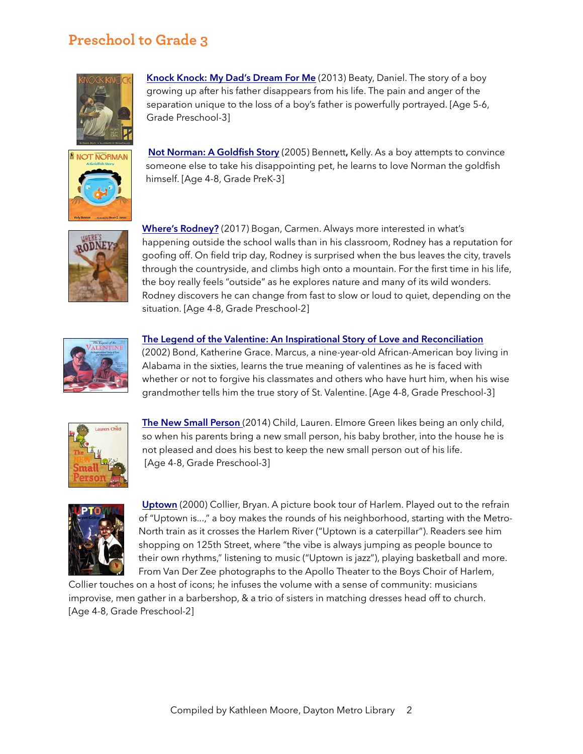### **Preschool to Grade 3**



[Knock Knock: My Dad's Dream For Me](https://www.amazon.com/Knock-My-Dads-Dream-Me/dp/0316209171/) (2013) Beaty, Daniel. The story of a boy growing up after his father disappears from his life. The pain and anger of the separation unique to the loss of a boy's father is powerfully portrayed. [Age 5-6, Grade Preschool-3]



[Not Norman: A Goldfish Story](https://www.amazon.com/Not-Norman-Goldfish-Kelly-Bennett/dp/0763627631/ref=sr_1_1?s=books&ie=UTF8&qid=1520346972&sr=1-1&keywords=Not+Norman:+A+goldfish+story) (2005) Bennett, Kelly. As a boy attempts to convince someone else to take his disappointing pet, he learns to love Norman the goldfish himself. [Age 4-8, Grade PreK-3]



[Where's Rodney?](https://www.amazon.com/Wheres-Rodney-Carmen-Bogan/dp/1930238738/) (2017) Bogan, Carmen. Always more interested in what's happening outside the school walls than in his classroom, Rodney has a reputation for goofing off. On field trip day, Rodney is surprised when the bus leaves the city, travels through the countryside, and climbs high onto a mountain. For the first time in his life, the boy really feels "outside" as he explores nature and many of its wild wonders. Rodney discovers he can change from fast to slow or loud to quiet, depending on the situation. [Age 4-8, Grade Preschool-2]



### [The Legend of the Valentine: An Inspirational Story of Love and Reconciliation](https://www.amazon.com/Legend-Valentine-Inspirational-Story-Reconciliation/dp/0310700396)

(2002) Bond, Katherine Grace. Marcus, a nine-year-old African-American boy living in Alabama in the sixties, learns the true meaning of valentines as he is faced with whether or not to forgive his classmates and others who have hurt him, when his wise grandmother tells him the true story of St. Valentine. [Age 4-8, Grade Preschool-3]



[The New Small Person](https://www.amazon.com/New-Small-Person-Lauren-Child/dp/0763678104/) (2014) Child, Lauren. Elmore Green likes being an only child, so when his parents bring a new small person, his baby brother, into the house he is not pleased and does his best to keep the new small person out of his life. [Age 4-8, Grade Preschool-3]



[Uptown](https://www.amazon.com/Uptown-Rise-Shine-Owlet-Book/dp/080507399X/) (2000) Collier, Bryan. A picture book tour of Harlem. Played out to the refrain of "Uptown is...," a boy makes the rounds of his neighborhood, starting with the Metro-North train as it crosses the Harlem River ("Uptown is a caterpillar"). Readers see him shopping on 125th Street, where "the vibe is always jumping as people bounce to their own rhythms," listening to music ("Uptown is jazz"), playing basketball and more. From Van Der Zee photographs to the Apollo Theater to the Boys Choir of Harlem,

Collier touches on a host of icons; he infuses the volume with a sense of community: musicians improvise, men gather in a barbershop, & a trio of sisters in matching dresses head off to church. [Age 4-8, Grade Preschool-2]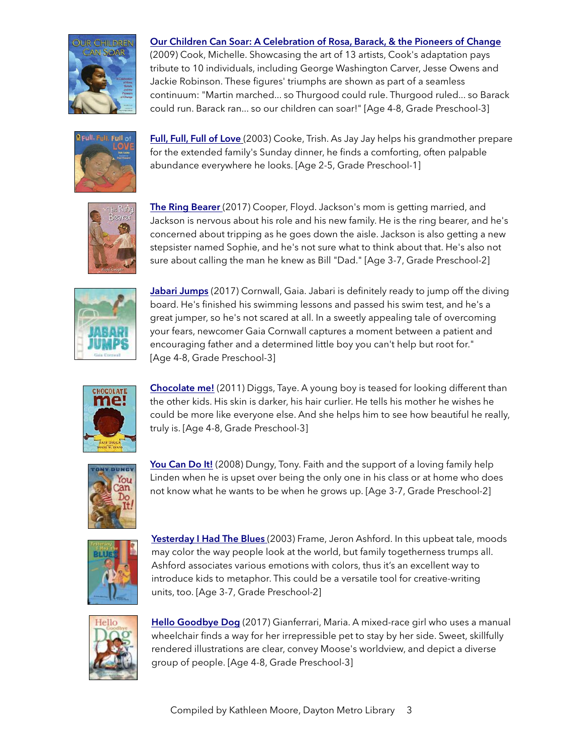

### Our Children [Can Soar: A Celebration of Rosa, Barack, & the Pioneers of Change](https://www.amazon.com/Our-Children-Can-Soar-Celebration/dp/1599907836/)

(2009) Cook, Michelle. Showcasing the art of 13 artists, Cook's adaptation pays tribute to 10 individuals, including George Washington Carver, Jesse Owens and Jackie Robinson. These figures' triumphs are shown as part of a seamless continuum: "Martin marched... so Thurgood could rule. Thurgood ruled... so Barack could run. Barack ran... so our children can soar!" [Age 4-8, Grade Preschool-3]



[Full, Full, Full of Love](https://www.amazon.com/Full-Love-Trish-Cooke/dp/0763638838/) (2003) Cooke, Trish. As Jay Jay helps his grandmother prepare for the extended family's Sunday dinner, he finds a comforting, often palpable abundance everywhere he looks. [Age 2-5, Grade Preschool-1]



The Ring Bearer (2017) Cooper, Floyd. Jackson's mom is getting married, and Jackson is nervous about his role and his new family. He is the ring bearer, and he's concerned about tripping as he goes down the aisle. Jackson is also getting a new stepsister named Sophie, and he's not sure what to think about that. He's also not sure about calling the man he knew as Bill "Dad." [Age 3-7, Grade Preschool-2]



[Jabari Jumps](https://www.amazon.com/Jabari-Jumps-Gaia-Cornwall/dp/0763678384/) (2017) Cornwall, Gaia. Jabari is definitely ready to jump off the diving board. He's finished his swimming lessons and passed his swim test, and he's a great jumper, so he's not scared at all. In a sweetly appealing tale of overcoming your fears, newcomer Gaia Cornwall captures a moment between a patient and encouraging father and a determined little boy you can't help but root for." [Age 4-8, Grade Preschool-3]



[Chocolate me!](https://www.amazon.com/Chocolate-Me-Taye-Diggs/dp/1250068010) (2011) Diggs, Taye. A young boy is teased for looking different than the other kids. His skin is darker, his hair curlier. He tells his mother he wishes he could be more like everyone else. And she helps him to see how beautiful he really, truly is. [Age 4-8, Grade Preschool-3]



[You Can Do It!](https://www.amazon.com/You-Can-Do-Tony-Dungy/dp/1416954619/) (2008) Dungy, Tony. Faith and the support of a loving family help Linden when he is upset over being the only one in his class or at home who does not know what he wants to be when he grows up. [Age 3-7, Grade Preschool-2]



[Yesterday I Had The Blues](https://www.amazon.com/Yesterday-Blues-Jeron-Ashford-Frame/dp/1582462607/) (2003) Frame, Jeron Ashford. In this upbeat tale, moods may color the way people look at the world, but family togetherness trumps all. Ashford associates various emotions with colors, thus it's an excellent way to introduce kids to metaphor. This could be a versatile tool for creative-writing units, too. [Age 3-7, Grade Preschool-2]



[Hello Goodbye Dog](https://www.amazon.com/Hello-Goodbye-Dog-Maria-Gianferrari/dp/1626721777/) (2017) Gianferrari, Maria. A mixed-race girl who uses a manual wheelchair finds a way for her irrepressible pet to stay by her side. Sweet, skillfully rendered illustrations are clear, convey Moose's worldview, and depict a diverse group of people. [Age 4-8, Grade Preschool-3]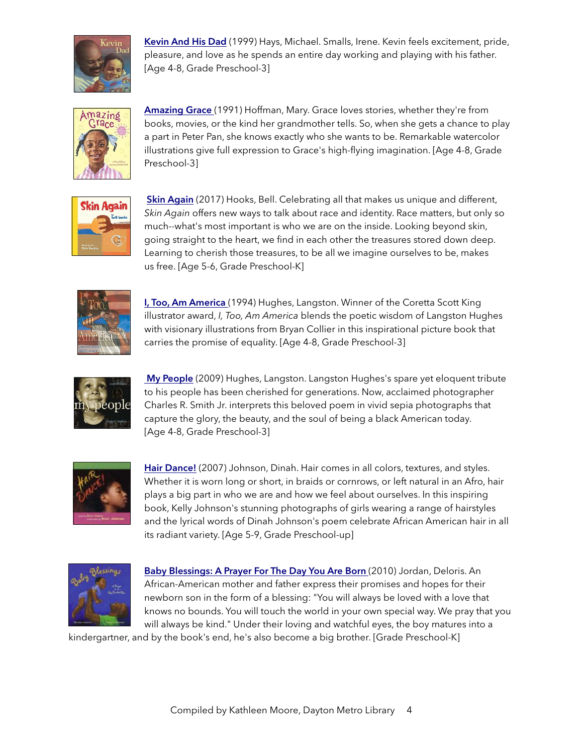

[Kevin And His Dad](https://www.amazon.com/Kevin-His-Dad-Irene-Smalls/dp/0316798991/) (1999) Hays, Michael. Smalls, Irene. Kevin feels excitement, pride, pleasure, and love as he spends an entire day working and playing with his father. [Age 4-8, Grade Preschool-3]



[Amazing Grace](https://www.amazon.com/Amazing-Grace-Reading-Rainbow-Books/dp/0803710402/) (1991) Hoffman, Mary. Grace loves stories, whether they're from books, movies, or the kind her grandmother tells. So, when she gets a chance to play a part in Peter Pan, she knows exactly who she wants to be. Remarkable watercolor illustrations give full expression to Grace's high-flying imagination. [Age 4-8, Grade Preschool-3]



[Skin Again](https://www.amazon.com/Skin-Again-Bell-Hooks/dp/1484799232/ref=sr_1_1?s=books&ie=UTF8&qid=1520348241&sr=1-1&keywords=Skin+Again) (2017) Hooks, Bell. Celebrating all that makes us unique and different, *Skin Again* offers new ways to talk about race and identity. Race matters, but only so much--what's most important is who we are on the inside. Looking beyond skin, going straight to the heart, we find in each other the treasures stored down deep. Learning to cherish those treasures, to be all we imagine ourselves to be, makes us free. [Age 5-6, Grade Preschool-K]



[I, Too, Am America](https://www.amazon.com/Too-Am-America-Langston-Hughes/dp/1442420081) (1994) Hughes, Langston. Winner of the Coretta Scott King illustrator award, *I, Too, Am America* blends the poetic wisdom of Langston Hughes with visionary illustrations from Bryan Collier in this inspirational picture book that carries the promise of equality. [Age 4-8, Grade Preschool-3]



[My People](https://www.amazon.com/People-Coretta-Scott-King-Award/dp/1416935401/ref=sr_1_1?s=books&ie=UTF8&qid=1520348420&sr=1-1&keywords=My+People) (2009) Hughes, Langston. Langston Hughes's spare yet eloquent tribute to his people has been cherished for generations. Now, acclaimed photographer Charles R. Smith Jr. interprets this beloved poem in vivid sepia photographs that capture the glory, the beauty, and the soul of being a black American today. [Age 4-8, Grade Preschool-3]



[Hair Dance!](https://www.amazon.com/Hair-Dance-Dinah-Johnson/dp/0805065237/ref=sr_1_1?s=books&ie=UTF8&qid=1520348654&sr=1-1&keywords=Hair+Dance!) (2007) Johnson, Dinah. Hair comes in all colors, textures, and styles. Whether it is worn long or short, in braids or cornrows, or left natural in an Afro, hair plays a big part in who we are and how we feel about ourselves. In this inspiring book, Kelly Johnson's stunning photographs of girls wearing a range of hairstyles and the lyrical words of Dinah Johnson's poem celebrate African American hair in all its radiant variety. [Age 5-9, Grade Preschool-up]



[Baby Blessings: A Prayer For The Day You Are Born](https://www.amazon.com/Baby-Blessings-Prayer-Paula-Wiseman/dp/1416953620/) (2010) Jordan, Deloris. An African-American mother and father express their promises and hopes for their newborn son in the form of a blessing: "You will always be loved with a love that knows no bounds. You will touch the world in your own special way. We pray that you will always be kind." Under their loving and watchful eyes, the boy matures into a

kindergartner, and by the book's end, he's also become a big brother. [Grade Preschool-K]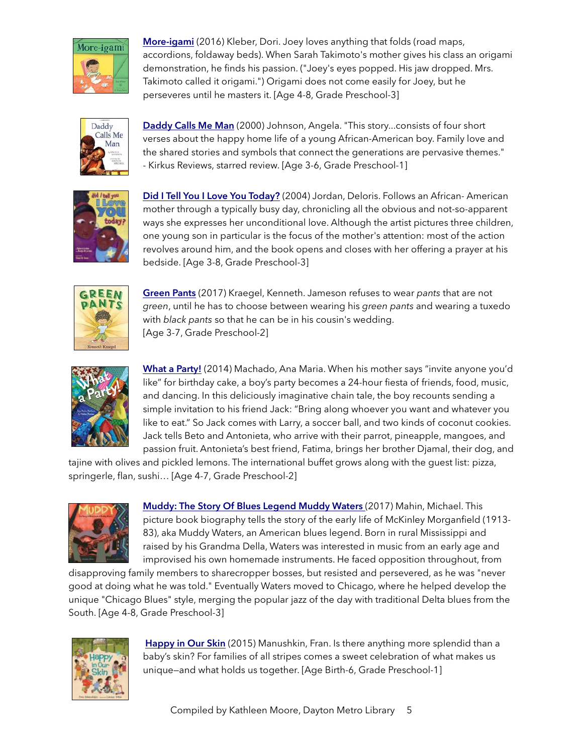

[More-igami](https://www.amazon.com/More-igami-Dori-Kleber/dp/0763668192/) (2016) Kleber, Dori. Joey loves anything that folds (road maps, accordions, foldaway beds). When Sarah Takimoto's mother gives his class an origami demonstration, he finds his passion. ("Joey's eyes popped. His jaw dropped. Mrs. Takimoto called it origami.") Origami does not come easily for Joey, but he perseveres until he masters it. [Age 4-8, Grade Preschool-3]



[Daddy Calls Me Man](https://www.amazon.com/Daddy-Calls-Richard-Jackson-Orchard/dp/0531071758) (2000) Johnson, Angela. "This story...consists of four short verses about the happy home life of a young African-American boy. Family love and the shared stories and symbols that connect the generations are pervasive themes." - Kirkus Reviews, starred review. [Age 3-6, Grade Preschool-1]



[Did I Tell You I Love You Today?](https://www.amazon.com/Did-Tell-You-Love-Today/dp/0689852711/) (2004) Jordan, Deloris. Follows an African- American mother through a typically busy day, chronicling all the obvious and not-so-apparent ways she expresses her unconditional love. Although the artist pictures three children, one young son in particular is the focus of the mother's attention: most of the action revolves around him, and the book opens and closes with her offering a prayer at his bedside. [Age 3-8, Grade Preschool-3]



[Green Pants](https://www.amazon.com/Green-Pants-Kenneth-Kraegel/dp/0763688401/) (2017) Kraegel, Kenneth. Jameson refuses to wear *pants* that are not *green*, until he has to choose between wearing his *green pants* and wearing a tuxedo with *black pants* so that he can be in his cousin's wedding. [Age 3-7, Grade Preschool-2]



[What a Party!](https://www.amazon.com/What-Party-Ana-Maria-Machado/dp/1554981689/) (2014) Machado, Ana Maria. When his mother says "invite anyone you'd like" for birthday cake, a boy's party becomes a 24-hour fiesta of friends, food, music, and dancing. In this deliciously imaginative chain tale, the boy recounts sending a simple invitation to his friend Jack: "Bring along whoever you want and whatever you like to eat." So Jack comes with Larry, a soccer ball, and two kinds of coconut cookies. Jack tells Beto and Antonieta, who arrive with their parrot, pineapple, mangoes, and passion fruit. Antonieta's best friend, Fatima, brings her brother Djamal, their dog, and

tajine with olives and pickled lemons. The international buffet grows along with the guest list: pizza, springerle, flan, sushi… [Age 4-7, Grade Preschool-2]



[Muddy: The Story Of Blues Legend Muddy Waters](https://www.amazon.com/Muddy-Story-Blues-Legend-Waters/dp/1481443496/) (2017) Mahin, Michael. This picture book biography tells the story of the early life of McKinley Morganfield (1913- 83), aka Muddy Waters, an American blues legend. Born in rural Mississippi and raised by his Grandma Della, Waters was interested in music from an early age and improvised his own homemade instruments. He faced opposition throughout, from

disapproving family members to sharecropper bosses, but resisted and persevered, as he was "never good at doing what he was told." Eventually Waters moved to Chicago, where he helped develop the unique "Chicago Blues" style, merging the popular jazz of the day with traditional Delta blues from the South. [Age 4-8, Grade Preschool-3]



[Happy in Our Skin](https://www.amazon.com/Happy-Our-Skin-Fran-Manushkin/dp/0763699721/ref=sr_1_1?s=books&ie=UTF8&qid=1520346473&sr=1-1&keywords=Happy+in+Our+Skin) (2015) Manushkin, Fran. Is there anything more splendid than a baby's skin? For families of all stripes comes a sweet celebration of what makes us unique—and what holds us together. [Age Birth-6, Grade Preschool-1]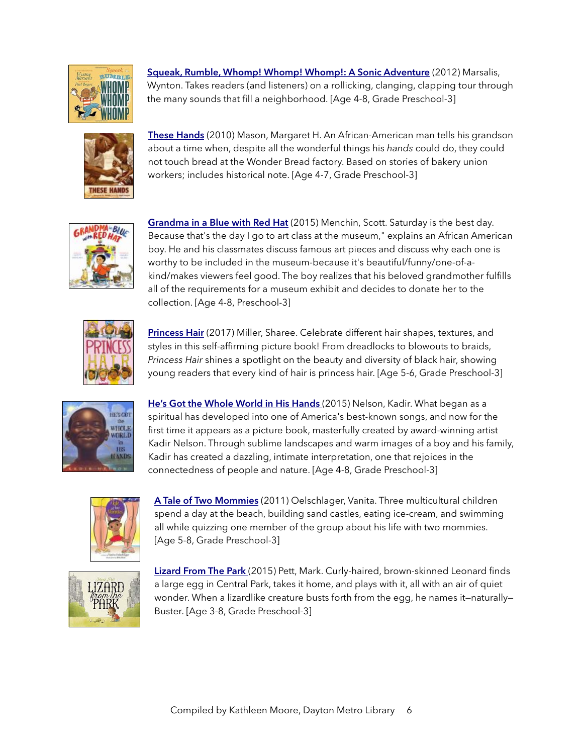

[Squeak, Rumble, Whomp! Whomp! Whomp!: A Sonic Adventure](https://www.amazon.com/Squeak-Rumble-Whomp-Sonic-Adventure/dp/0763639915/) (2012) Marsalis, Wynton. Takes readers (and listeners) on a rollicking, clanging, clapping tour through the many sounds that fill a neighborhood. [Age 4-8, Grade Preschool-3]



[These Hands](https://www.amazon.com/These-Hands-Margaret-H-Mason/dp/0544555465/ref=sr_1_1?s=books&ie=UTF8&qid=1520350532&sr=1-1&keywords=these+hands) (2010) Mason, Margaret H. An African-American man tells his grandson about a time when, despite all the wonderful things his *hands* could do, they could not touch bread at the Wonder Bread factory. Based on stories of bakery union workers; includes historical note. [Age 4-7, Grade Preschool-3]



[Grandma in a Blue with Red Hat](https://www.amazon.com/Grandma-Blue-Red-Scott-Menchin/dp/1419714848/) (2015) Menchin, Scott. Saturday is the best day. Because that's the day I go to art class at the museum," explains an African American boy. He and his classmates discuss famous art pieces and discuss why each one is worthy to be included in the museum-because it's beautiful/funny/one-of-akind/makes viewers feel good. The boy realizes that his beloved grandmother fulfills all of the requirements for a museum exhibit and decides to donate her to the collection. [Age 4-8, Preschool-3]



[Princess Hair](https://www.amazon.com/Princess-Hair-Sharee-Miller/dp/0316562610/ref=sr_1_1?s=books&ie=UTF8&qid=1520348550&sr=1-1&keywords=Princess+Hair) (2017) Miller, Sharee. Celebrate different hair shapes, textures, and styles in this self-affirming picture book! From dreadlocks to blowouts to braids, *Princess Hair* shines a spotlight on the beauty and diversity of black hair, showing young readers that every kind of hair is princess hair. [Age 5-6, Grade Preschool-3]



[He's Got the Whole World in His Hands](https://www.amazon.com/Hes-Got-Whole-World-Hands/dp/0803728506/) (2015) Nelson, Kadir. What began as a spiritual has developed into one of America's best-known songs, and now for the first time it appears as a picture book, masterfully created by award-winning artist Kadir Nelson. Through sublime landscapes and warm images of a boy and his family, Kadir has created a dazzling, intimate interpretation, one that rejoices in the connectedness of people and nature. [Age 4-8, Grade Preschool-3]



A [Tale of Two Mommies](https://www.amazon.com/Tale-Two-Mommies-Vanita-Oelschlager/dp/0982636679/) (2011) Oelschlager, Vanita. Three multicultural children spend a day at the beach, building sand castles, eating ice-cream, and swimming all while quizzing one member of the group about his life with two mommies. [Age 5-8, Grade Preschool-3]



[Lizard From The Park](https://www.amazon.com/Lizard-Park-Mark-Pett/dp/1442483210/) (2015) Pett, Mark. Curly-haired, brown-skinned Leonard finds a large egg in Central Park, takes it home, and plays with it, all with an air of quiet wonder. When a lizardlike creature busts forth from the egg, he names it-naturally-Buster. [Age 3-8, Grade Preschool-3]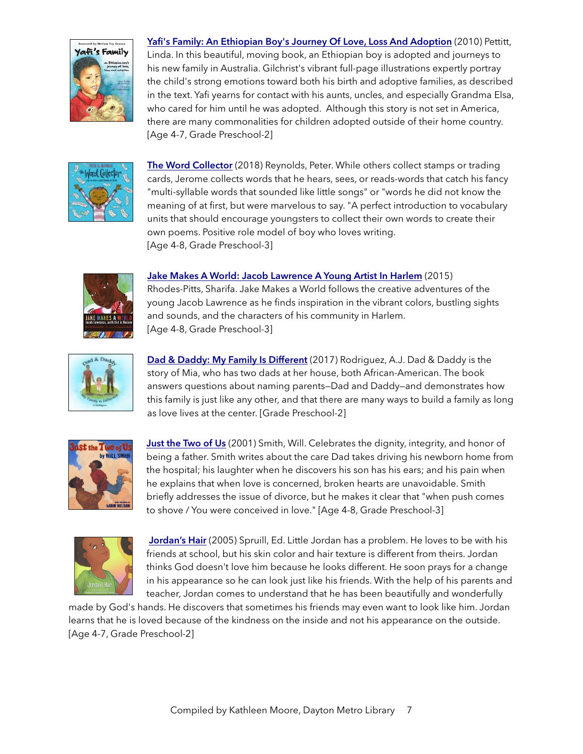

[Yafi's Family: An Ethiopian Boy's Journey Of Love, Loss And Adoption](https://www.amazon.com/Yafis-Family-Ethiopian-journey-adoption/dp/0979748143/) (2010) Pettitt, Linda. In this beautiful, moving book, an Ethiopian boy is adopted and journeys to his new family in Australia. Gilchrist's vibrant full-page illustrations expertly portray the child's strong emotions toward both his birth and adoptive families, as described in the text. Yafi yearns for contact with his aunts, uncles, and especially Grandma Elsa, who cared for him until he was adopted. Although this story is not set in America, there are many commonalities for children adopted outside of their home country. [Age 4-7, Grade Preschool-2]



[The Word Collector](https://www.amazon.com/Word-Collector-Peter-H-Reynolds/dp/0545865026/) (2018) Reynolds, Peter. While others collect stamps or trading cards, Jerome collects words that he hears, sees, or reads-words that catch his fancy "multi-syllable words that sounded like little songs" or "words he did not know the meaning of at first, but were marvelous to say. "A perfect introduction to vocabulary units that should encourage youngsters to collect their own words to create their own poems. Positive role model of boy who loves writing. [Age 4-8, Grade Preschool-3]



### [Jake Makes A World: Jacob Lawrence A Young Artist In Harlem](https://www.amazon.com/Jake-Makes-World-Lawrence-Artist/dp/0870709658/) (2015)

Rhodes-Pitts, Sharifa. Jake Makes a World follows the creative adventures of the young Jacob Lawrence as he finds inspiration in the vibrant colors, bustling sights and sounds, and the characters of his community in Harlem. [Age 4-8, Grade Preschool-3]



[Dad & Daddy: My Family Is Different](https://www.amazon.com/Dad-Daddy-My-Family-Different/dp/1480942278/) (2017) Rodriguez, A.J. Dad & Daddy is the story of Mia, who has two dads at her house, both African-American. The book answers questions about naming parents—Dad and Daddy—and demonstrates how this family is just like any other, and that there are many ways to build a family as long as love lives at the center. [Grade Preschool-2]



[Just the Two of Us](https://www.amazon.com/Just-Two-Us-Scholastic-Bookshelf/dp/043966943X/) (2001) Smith, Will. Celebrates the dignity, integrity, and honor of being a father. Smith writes about the care Dad takes driving his newborn home from the hospital; his laughter when he discovers his son has his ears; and his pain when he explains that when love is concerned, broken hearts are unavoidable. Smith briefly addresses the issue of divorce, but he makes it clear that "when push comes to shove / You were conceived in love." [Age 4-8, Grade Preschool-3]



[Jordan's Hair](https://www.amazon.com/Jordans-Hair-Edward-L-Spruill/dp/0817014845/ref=sr_1_1?s=books&ie=UTF8&qid=1520346560&sr=1-1&keywords=Jordan%E2%80%99s+Hair) (2005) Spruill, Ed. Little Jordan has a problem. He loves to be with his friends at school, but his skin color and hair texture is different from theirs. Jordan thinks God doesn't love him because he looks different. He soon prays for a change in his appearance so he can look just like his friends. With the help of his parents and teacher, Jordan comes to understand that he has been beautifully and wonderfully

made by God's hands. He discovers that sometimes his friends may even want to look like him. Jordan learns that he is loved because of the kindness on the inside and not his appearance on the outside. [Age 4-7, Grade Preschool-2]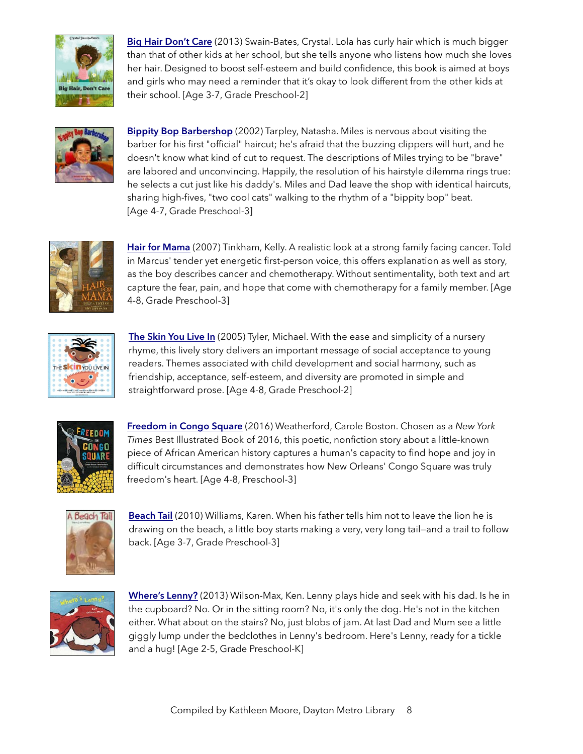

Big Hair [Don't Care](https://www.amazon.com/Hair-Dont-Care-Crystal-Swain-Bates/dp/1939509025/ref=sr_1_1?s=books&ie=UTF8&qid=1520346063&sr=1-1&keywords=big+hair+don) (2013) Swain-Bates, Crystal. Lola has curly hair which is much bigger than that of other kids at her school, but she tells anyone who listens how much she loves her hair. Designed to boost self-esteem and build confidence, this book is aimed at boys and girls who may need a reminder that it's okay to look different from the other kids at their school. [Age 3-7, Grade Preschool-2]



[Bippity Bop Barbershop](https://www.amazon.com/Bippity-Barbershop-Natasha-Anastasia-Tarpley/dp/0316033820/) (2002) Tarpley, Natasha. Miles is nervous about visiting the barber for his first "official" haircut; he's afraid that the buzzing clippers will hurt, and he doesn't know what kind of cut to request. The descriptions of Miles trying to be "brave" are labored and unconvincing. Happily, the resolution of his hairstyle dilemma rings true: he selects a cut just like his daddy's. Miles and Dad leave the shop with identical haircuts, sharing high-fives, "two cool cats" walking to the rhythm of a "bippity bop" beat. [Age 4-7, Grade Preschool-3]



[Hair for Mama](https://www.amazon.com/Hair-Mama-Kelly-Tinkham/dp/0803729553/) (2007) Tinkham, Kelly. A realistic look at a strong family facing cancer. Told in Marcus' tender yet energetic first-person voice, this offers explanation as well as story, as the boy describes cancer and chemotherapy. Without sentimentality, both text and art capture the fear, pain, and hope that come with chemotherapy for a family member. [Age 4-8, Grade Preschool-3]



[The Skin You Live In](https://www.amazon.com/Skin-You-Live-Michael-Tyler/dp/0975958003/ref=sr_1_1?s=books&ie=UTF8&qid=1520348042&sr=1-1&keywords=The+Skin+You+Live+In) (2005) Tyler, Michael. With the ease and simplicity of a nursery rhyme, this lively story delivers an important message of social acceptance to young readers. Themes associated with child development and social harmony, such as friendship, acceptance, self-esteem, and diversity are promoted in simple and straightforward prose. [Age 4-8, Grade Preschool-2]



[Freedom in Congo Square](https://www.amazon.com/Freedom-Congo-Square-Charlotte-Zolotow/dp/1499801033/) (2016) Weatherford, Carole Boston. Chosen as a *New York Times* Best Illustrated Book of 2016, this poetic, nonfiction story about a little-known piece of African American history captures a human's capacity to find hope and joy in difficult circumstances and demonstrates how New Orleans' Congo Square was truly freedom's heart. [Age 4-8, Preschool-3]



[Beach Tail](https://www.amazon.com/Beach-Tail-Karen-Williams/dp/1590787129/) (2010) Williams, Karen. When his father tells him not to leave the lion he is drawing on the beach, a little boy starts making a very, very long tail—and a trail to follow back. [Age 3-7, Grade Preschool-3]



[Where's Lenny?](https://www.amazon.com/Wheres-Lenny-Ken-Wilson-Max/dp/1847803180/) (2013) Wilson-Max, Ken. Lenny plays hide and seek with his dad. Is he in the cupboard? No. Or in the sitting room? No, it's only the dog. He's not in the kitchen either. What about on the stairs? No, just blobs of jam. At last Dad and Mum see a little giggly lump under the bedclothes in Lenny's bedroom. Here's Lenny, ready for a tickle and a hug! [Age 2-5, Grade Preschool-K]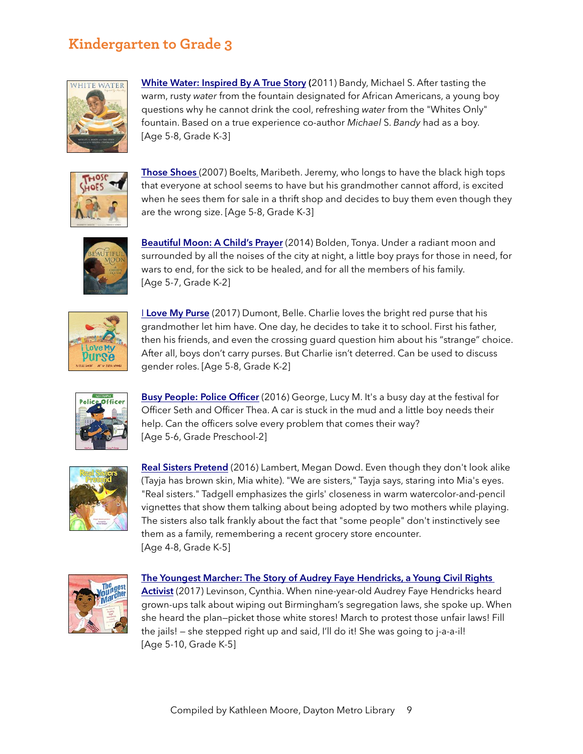### **Kindergarten to Grade 3**



[White Water: Inspired By A True Story](https://www.amazon.com/White-Water-Michael-S-Bandy/dp/0763679453/ref=sr_1_1?s=books&ie=UTF8&qid=1520350347&sr=1-1&keywords=White+Water:+Inspired+By+A+True+Story) (2011) Bandy, Michael S. After tasting the warm, rusty *water* from the fountain designated for African Americans, a young boy questions why he cannot drink the cool, refreshing *water* from the "Whites Only" fountain. Based on a true experience co-author *Michael* S. *Bandy* had as a boy. [Age 5-8, Grade K-3]



[Those Shoes](https://www.amazon.com/Those-Shoes-Maribeth-Boelts/dp/0763642843/) (2007) Boelts, Maribeth. Jeremy, who longs to have the black high tops that everyone at school seems to have but his grandmother cannot afford, is excited when he sees them for sale in a thrift shop and decides to buy them even though they are the wrong size. [Age 5-8, Grade K-3]



[Beautiful Moon: A Child's Prayer](https://www.amazon.com/Beautiful-Moon-Childs-Tonya-Bolden/dp/1419707922/) (2014) Bolden, Tonya. Under a radiant moon and surrounded by all the noises of the city at night, a little boy prays for those in need, for wars to end, for the sick to be healed, and for all the members of his family. [Age 5-7, Grade K-2]



**I [Love My Purse](https://www.amazon.com/I-Love-My-Purse-Demont/dp/1554519543/)** (2017) Dumont, Belle. Charlie loves the bright red purse that his grandmother let him have. One day, he decides to take it to school. First his father, then his friends, and even the crossing guard question him about his "strange" choice. After all, boys don't carry purses. But Charlie isn't deterred. Can be used to discuss gender roles. [Age 5-8, Grade K-2]



[Busy People: Police Officer](https://www.amazon.com/Busy-People-Lucy-M-George/dp/160992942X) (2016) George, Lucy M. It's a busy day at the festival for Officer Seth and Officer Thea. A car is stuck in the mud and a little boy needs their help. Can the officers solve every problem that comes their way? [Age 5-6, Grade Preschool-2]



[Real Sisters Pretend](https://www.amazon.com/Real-Sisters-Pretend-Megan-Lambert/dp/0884484416/) (2016) Lambert, Megan Dowd. Even though they don't look alike (Tayja has brown skin, Mia white). "We are sisters," Tayja says, staring into Mia's eyes. "Real sisters." Tadgell emphasizes the girls' closeness in warm watercolor-and-pencil vignettes that show them talking about being adopted by two mothers while playing. The sisters also talk frankly about the fact that "some people" don't instinctively see them as a family, remembering a recent grocery store encounter. [Age 4-8, Grade K-5]



#### [The Youngest Marcher: The Story of Audrey Faye Hendricks, a Young Civil Rights](https://www.amazon.com/Youngest-Marcher-Audrey-Hendricks-Activist/dp/1481400703/)

[Activist](https://www.amazon.com/Youngest-Marcher-Audrey-Hendricks-Activist/dp/1481400703/) (2017) Levinson, Cynthia. When nine-year-old Audrey Faye Hendricks heard grown-ups talk about wiping out Birmingham's segregation laws, she spoke up. When she heard the plan—picket those white stores! March to protest those unfair laws! Fill the jails! — she stepped right up and said, I'll do it! She was going to j-a-a-il! [Age 5-10, Grade K-5]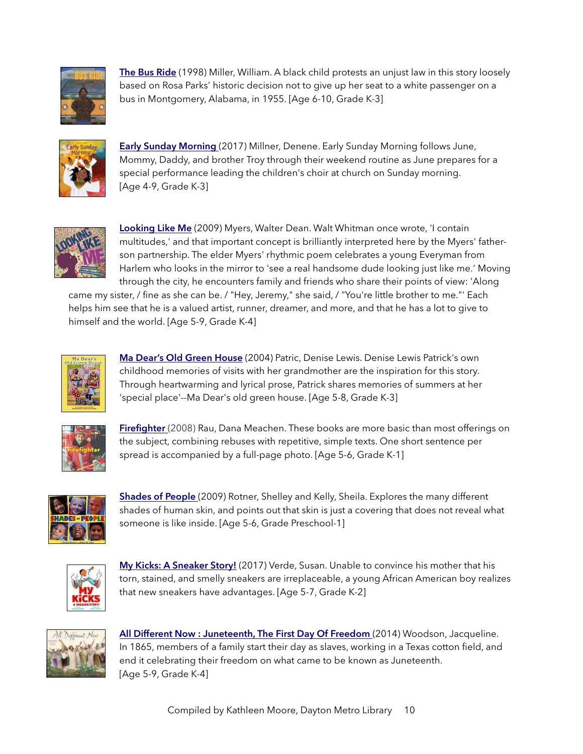

[The Bus Ride](https://www.amazon.com/Bus-Ride-William-Miller/dp/1584300264/ref=sr_1_1?s=books&ie=UTF8&qid=1520350912&sr=1-1&keywords=The+Bus+Ride) (1998) Miller, William. A black child protests an unjust law in this story loosely based on Rosa Parks' historic decision not to give up her seat to a white passenger on a bus in Montgomery, Alabama, in 1955. [Age 6-10, Grade K-3]



[Early Sunday Morning](https://www.amazon.com/Early-Sunday-Morning-Denene-Millner/dp/1572842113/) (2017) Millner, Denene. Early Sunday Morning follows June, Mommy, Daddy, and brother Troy through their weekend routine as June prepares for a special performance leading the children's choir at church on Sunday morning. [Age 4-9, Grade K-3]



[Looking Like Me](https://www.amazon.com/Looking-Like-Walter-Dean-Myers/dp/1606840010/) (2009) Myers, Walter Dean. Walt Whitman once wrote, 'I contain multitudes,' and that important concept is brilliantly interpreted here by the Myers' fatherson partnership. The elder Myers' rhythmic poem celebrates a young Everyman from Harlem who looks in the mirror to 'see a real handsome dude looking just like me.' Moving through the city, he encounters family and friends who share their points of view: 'Along

came my sister, / fine as she can be. / "Hey, Jeremy," she said, / "You're little brother to me."' Each helps him see that he is a valued artist, runner, dreamer, and more, and that he has a lot to give to himself and the world. [Age 5-9, Grade K-4]



[Ma Dear's Old Green House](https://www.amazon.com/Ma-Dears-Old-Green-House/dp/0940975556/) (2004) Patric, Denise Lewis. Denise Lewis Patrick's own childhood memories of visits with her grandmother are the inspiration for this story. Through heartwarming and lyrical prose, Patrick shares memories of summers at her 'special place'--Ma Dear's old green house. [Age 5-8, Grade K-3]



[Firefighter](https://www.amazon.com/Firefighter-Benchmark-Rebus-Dana-Meachen/dp/0761426175/) (2008) Rau, Dana Meachen. These books are more basic than most offerings on the subject, combining rebuses with repetitive, simple texts. One short sentence per spread is accompanied by a full-page photo. [Age 5-6, Grade K-1]



[Shades of People](https://www.amazon.com/Shades-People-Sheila-M-Kelly/dp/0823423050/ref=sr_1_1?s=books&ie=UTF8&qid=1520347634&sr=1-1&keywords=Shades+of+People) (2009) Rotner, Shelley and Kelly, Sheila. Explores the many different shades of human skin, and points out that skin is just a covering that does not reveal what someone is like inside. [Age 5-6, Grade Preschool-1]



[My Kicks: A Sneaker Story!](https://www.amazon.com/My-Kicks-Sneaker-Susan-Verde/dp/141972309X/) (2017) Verde, Susan. Unable to convince his mother that his torn, stained, and smelly sneakers are irreplaceable, a young African American boy realizes that new sneakers have advantages. [Age 5-7, Grade K-2]



[All Different Now : Juneteenth, The First Day Of Freedom](https://www.amazon.com/All-Different-Now-Juneteenth-Freedom/dp/068987376X/) (2014) Woodson, Jacqueline. In 1865, members of a family start their day as slaves, working in a Texas cotton field, and end it celebrating their freedom on what came to be known as Juneteenth. [Age 5-9, Grade K-4]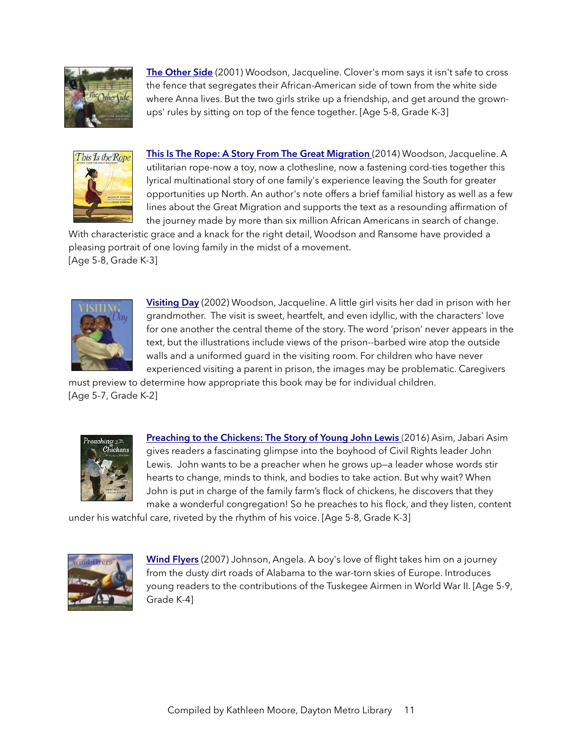

[The Other Side](https://www.amazon.com/Other-Side-Jacqueline-Woodson/dp/0399231161/) (2001) Woodson, Jacqueline. Clover's mom says it isn't safe to cross the fence that segregates their African-American side of town from the white side where Anna lives. But the two girls strike up a friendship, and get around the grownups' rules by sitting on top of the fence together. [Age 5-8, Grade K-3]



[This Is The Rope: A Story From The Great Migration](https://www.amazon.com/This-Rope-Story-Great-Migration/dp/0425288943/) (2014) Woodson, Jacqueline. A utilitarian rope-now a toy, now a clothesline, now a fastening cord-ties together this lyrical multinational story of one family's experience leaving the South for greater opportunities up North. An author's note offers a brief familial history as well as a few lines about the Great Migration and supports the text as a resounding affirmation of the journey made by more than six million African Americans in search of change.

With characteristic grace and a knack for the right detail, Woodson and Ransome have provided a pleasing portrait of one loving family in the midst of a movement. [Age 5-8, Grade K-3]



[Visiting Day](https://www.amazon.com/Visiting-Day-Jacqueline-Woodson/dp/0147516080/) (2002) Woodson, Jacqueline. A little girl visits her dad in prison with her grandmother. The visit is sweet, heartfelt, and even idyllic, with the characters' love for one another the central theme of the story. The word 'prison' never appears in the text, but the illustrations include views of the prison--barbed wire atop the outside walls and a uniformed guard in the visiting room. For children who have never experienced visiting a parent in prison, the images may be problematic. Caregivers

must preview to determine how appropriate this book may be for individual children. [Age 5-7, Grade K-2]



[Preaching to the Chickens: The Story of Young John Lewis](https://www.amazon.com/Preaching-Chickens-Story-Young-Lewis/dp/0399168567/) (2016) Asim, Jabari Asim gives readers a fascinating glimpse into the boyhood of Civil Rights leader John Lewis. John wants to be a preacher when he grows up—a leader whose words stir hearts to change, minds to think, and bodies to take action. But why wait? When John is put in charge of the family farm's flock of chickens, he discovers that they make a wonderful congregation! So he preaches to his flock, and they listen, content

under his watchful care, riveted by the rhythm of his voice. [Age 5-8, Grade K-3]



[Wind Flyers](https://www.amazon.com/Wind-Flyers-Angela-Johnson/dp/068984879X/) (2007) Johnson, Angela. A boy's love of flight takes him on a journey from the dusty dirt roads of Alabama to the war-torn skies of Europe. Introduces young readers to the contributions of the Tuskegee Airmen in World War II. [Age 5-9, Grade K-4]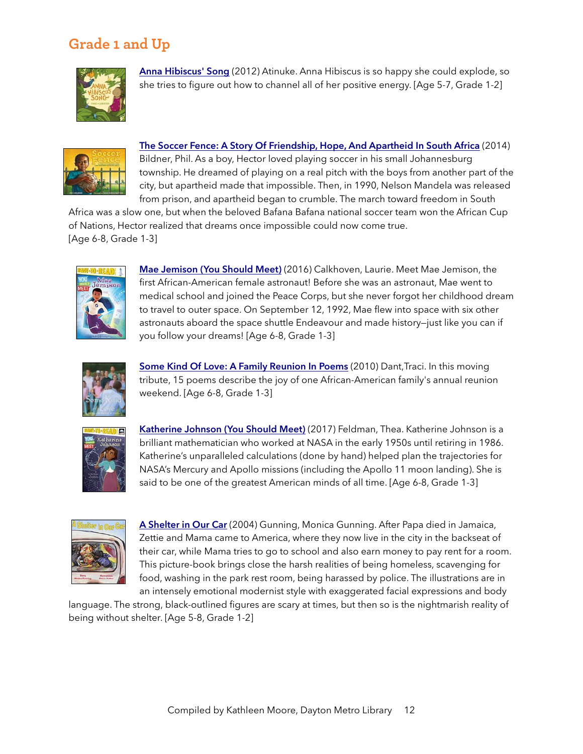# **Grade 1 and Up**



[Anna Hibiscus' Song](https://www.amazon.com/Anna-Hibiscus-Song-Atinuke/dp/161067040X/) (2012) Atinuke. Anna Hibiscus is so happy she could explode, so she tries to figure out how to channel all of her positive energy. [Age 5-7, Grade 1-2]



[The Soccer Fence: A Story Of Friendship, Hope, And Apartheid In South Africa](https://www.amazon.com/Soccer-Fence-friendship-apartheid-Africa/dp/0399247904/) (2014) Bildner, Phil. As a boy, Hector loved playing soccer in his small Johannesburg township. He dreamed of playing on a real pitch with the boys from another part of the city, but apartheid made that impossible. Then, in 1990, Nelson Mandela was released from prison, and apartheid began to crumble. The march toward freedom in South

Africa was a slow one, but when the beloved Bafana Bafana national soccer team won the African Cup of Nations, Hector realized that dreams once impossible could now come true. [Age 6-8, Grade 1-3]



[Mae Jemison \(You Should Meet\)](https://www.amazon.com/Mae-Jemison-You-Should-Meet/dp/1481476491/) (2016) Calkhoven, Laurie. Meet Mae Jemison, the first African-American female astronaut! Before she was an astronaut, Mae went to medical school and joined the Peace Corps, but she never forgot her childhood dream to travel to outer space. On September 12, 1992, Mae flew into space with six other astronauts aboard the space shuttle Endeavour and made history—just like you can if you follow your dreams! [Age 6-8, Grade 1-3]



[Some Kind Of Love: A Family Reunion In Poems](https://www.amazon.com/Some-Kind-Love-Family-Reunion/dp/0761455590/) (2010) Dant, Traci. In this moving tribute, 15 poems describe the joy of one African-American family's annual reunion weekend. [Age 6-8, Grade 1-3]



[Katherine Johnson \(You Should Meet\)](https://www.amazon.com/Katherine-Johnson-You-Should-Meet/dp/153440340X/) (2017) Feldman, Thea. Katherine Johnson is a brilliant mathematician who worked at NASA in the early 1950s until retiring in 1986. Katherine's unparalleled calculations (done by hand) helped plan the trajectories for NASA's Mercury and Apollo missions (including the Apollo 11 moon landing). She is said to be one of the greatest American minds of all time. [Age 6-8, Grade 1-3]



A [Shelter in Our Car](https://www.amazon.com/Shelter-Our-Car-Monica-Gunning/dp/0892393084/) (2004) Gunning, Monica Gunning. After Papa died in Jamaica, Zettie and Mama came to America, where they now live in the city in the backseat of their car, while Mama tries to go to school and also earn money to pay rent for a room. This picture-book brings close the harsh realities of being homeless, scavenging for food, washing in the park rest room, being harassed by police. The illustrations are in an intensely emotional modernist style with exaggerated facial expressions and body

language. The strong, black-outlined figures are scary at times, but then so is the nightmarish reality of being without shelter. [Age 5-8, Grade 1-2]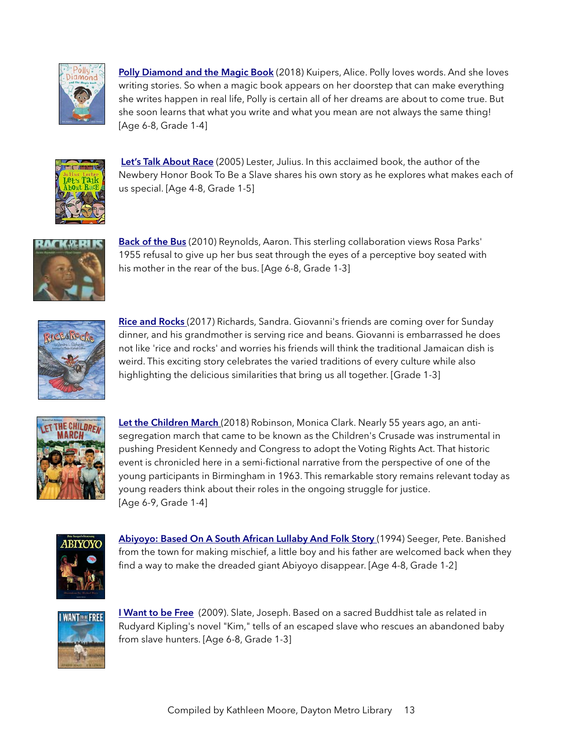

[Polly Diamond and the Magic Book](https://www.amazon.com/Polly-Diamond-Magic-Book/dp/1452152322/) (2018) Kuipers, Alice. Polly loves words. And she loves writing stories. So when a magic book appears on her doorstep that can make everything she writes happen in real life, Polly is certain all of her dreams are about to come true. But she soon learns that what you write and what you mean are not always the same thing! [Age 6-8, Grade 1-4]



[Let's Talk About Race](https://www.amazon.com/Lets-Talk-About-Julius-Lester/dp/0064462269) (2005) Lester, Julius. In this acclaimed book, the author of the Newbery Honor Book To Be a Slave shares his own story as he explores what makes each of us special. [Age 4-8, Grade 1-5]



[Back of the Bus](https://www.amazon.com/Back-Bus-Aaron-Reynolds/dp/0147510589/ref=sr_1_1?s=books&ie=UTF8&qid=1520351170&sr=1-1&keywords=Back+of+the+Bus.) (2010) Reynolds, Aaron. This sterling collaboration views Rosa Parks' 1955 refusal to give up her bus seat through the eyes of a perceptive boy seated with his mother in the rear of the bus. [Age 6-8, Grade 1-3]



[Rice and Rocks](https://www.amazon.com/Rice-Rocks-Sandra-L-Richards/dp/1940014735/) (2017) Richards, Sandra. Giovanni's friends are coming over for Sunday dinner, and his grandmother is serving rice and beans. Giovanni is embarrassed he does not like 'rice and rocks' and worries his friends will think the traditional Jamaican dish is weird. This exciting story celebrates the varied traditions of every culture while also highlighting the delicious similarities that bring us all together. [Grade 1-3]



[Let the Children March](https://www.amazon.com/Let-Children-March-Monica-Clark-Robinson/dp/0544704525/) (2018) Robinson, Monica Clark. Nearly 55 years ago, an antisegregation march that came to be known as the Children's Crusade was instrumental in pushing President Kennedy and Congress to adopt the Voting Rights Act. That historic event is chronicled here in a semi-fictional narrative from the perspective of one of the young participants in Birmingham in 1963. This remarkable story remains relevant today as young readers think about their roles in the ongoing struggle for justice. [Age 6-9, Grade 1-4]



[Abiyoyo: Based On A South African Lullaby And Folk Story](https://www.amazon.com/Abiyoyo-Pete-Seeger/dp/0689718101/) (1994) Seeger, Pete. Banished from the town for making mischief, a little boy and his father are welcomed back when they find a way to make the dreaded giant Abiyoyo disappear. [Age 4-8, Grade 1-2]



**I [Want to be Free](https://www.amazon.com/Want-be-Free-Joseph-Slate/dp/0399243429/)** (2009). Slate, Joseph. Based on a sacred Buddhist tale as related in Rudyard Kipling's novel "Kim," tells of an escaped slave who rescues an abandoned baby from slave hunters. [Age 6-8, Grade 1-3]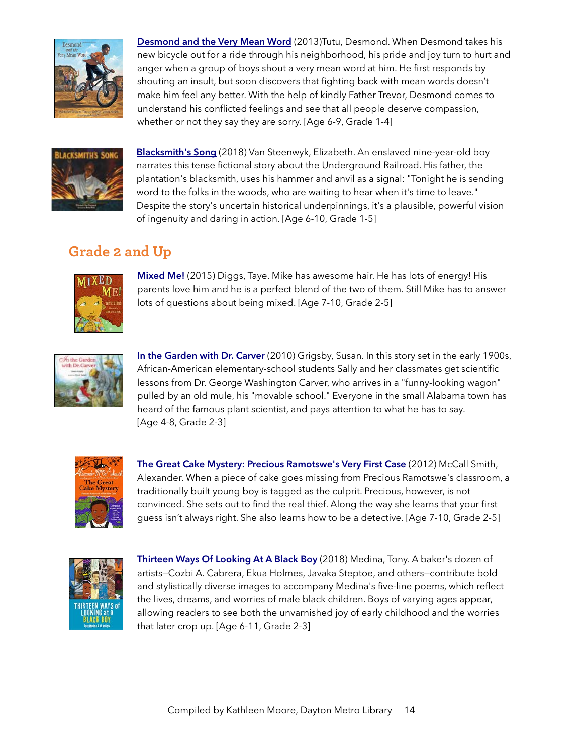

[Desmond and the Very Mean Word](https://www.amazon.com/Desmond-Very-Mean-Word-Tutu/dp/0763652296/) (2013)Tutu, Desmond. When Desmond takes his new bicycle out for a ride through his neighborhood, his pride and joy turn to hurt and anger when a group of boys shout a very mean word at him. He first responds by shouting an insult, but soon discovers that fighting back with mean words doesn't make him feel any better. With the help of kindly Father Trevor, Desmond comes to understand his conflicted feelings and see that all people deserve compassion, whether or not they say they are sorry. [Age 6-9, Grade 1-4]



[Blacksmith's Song](https://www.amazon.com/Blacksmiths-Song-Elizabeth-Van-Steenwyk/dp/1561455806/) (2018) Van Steenwyk, Elizabeth. An enslaved nine-year-old boy narrates this tense fictional story about the Underground Railroad. His father, the plantation's blacksmith, uses his hammer and anvil as a signal: "Tonight he is sending word to the folks in the woods, who are waiting to hear when it's time to leave." Despite the story's uncertain historical underpinnings, it's a plausible, powerful vision of ingenuity and daring in action. [Age 6-10, Grade 1-5]

# **Grade 2 and Up**



**[Mixed Me!](https://www.amazon.com/Mixed-Me-Taye-Diggs/dp/1250047196/ref=sr_1_1?s=books&ie=UTF8&qid=1520346258&sr=1-1&keywords=mixed+me)** (2015) Diggs, Taye. Mike has awesome hair. He has lots of energy! His parents love him and he is a perfect blend of the two of them. Still Mike has to answer lots of questions about being mixed. [Age 7-10, Grade 2-5]



[In the Garden with Dr. Carver](https://www.amazon.com/Garden-Dr-Carver-Susan-Grigsby/dp/080753630X/) (2010) Grigsby, Susan. In this story set in the early 1900s, African-American elementary-school students Sally and her classmates get scientific lessons from Dr. George Washington Carver, who arrives in a "funny-looking wagon" pulled by an old mule, his "movable school." Everyone in the small Alabama town has heard of the famous plant scientist, and pays attention to what he has to say. [Age 4-8, Grade 2-3]



[The Great Cake Mystery: Precious Ramotswe's Very First Case](https://www.amazon.com/Great-Cake-Mystery-Ramotswes-Mysteries/dp/0307743896/) (2012) McCall Smith, Alexander. When a piece of cake goes missing from Precious Ramotswe's classroom, a traditionally built young boy is tagged as the culprit. Precious, however, is not convinced. She sets out to find the real thief. Along the way she learns that your first guess isn't always right. She also learns how to be a detective. [Age 7-10, Grade 2-5]



[Thirteen Ways Of Looking At A Black Boy](https://www.amazon.com/Thirteen-Ways-Looking-Black-Boy/dp/0998799947) (2018) Medina, Tony. A baker's dozen of artists—Cozbi A. Cabrera, Ekua Holmes, Javaka Steptoe, and others—contribute bold and stylistically diverse images to accompany Medina's five-line poems, which reflect the lives, dreams, and worries of male black children. Boys of varying ages appear, allowing readers to see both the unvarnished joy of early childhood and the worries that later crop up. [Age 6-11, Grade 2-3]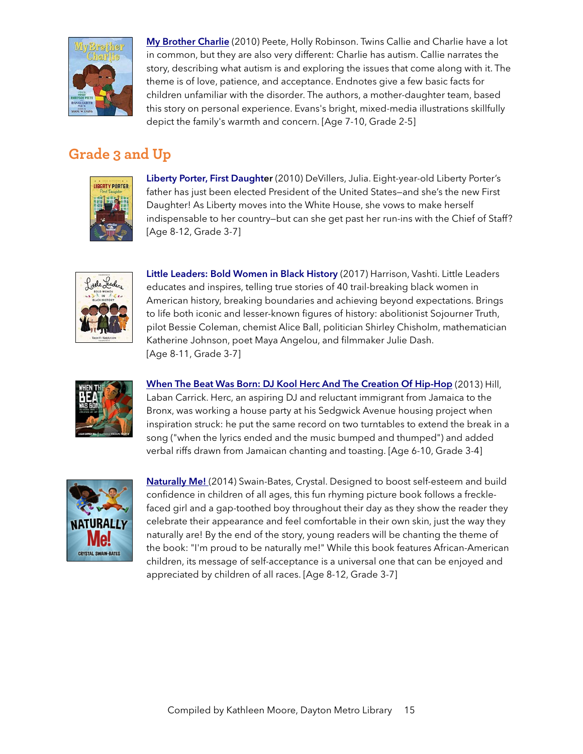

[My Brother Charlie](https://www.amazon.com/Brother-Charlie-Holly-Robinson-Peete/dp/0545094666/) (2010) Peete, Holly Robinson. Twins Callie and Charlie have a lot in common, but they are also very different: Charlie has autism. Callie narrates the story, describing what autism is and exploring the issues that come along with it. The theme is of love, patience, and acceptance. Endnotes give a few basic facts for children unfamiliar with the disorder. The authors, a mother-daughter team, based this story on personal experience. Evans's bright, mixed-media illustrations skillfully depict the family's warmth and concern. [Age 7-10, Grade 2-5]

### **Grade 3 and Up**



[Liberty Porter, First Daughter](https://www.amazon.com/Liberty-Porter-First-Daughter-DeVillers/dp/1416991271/) (2010) DeVillers, Julia. Eight-year-old Liberty Porter's father has just been elected President of the United States—and she's the new First Daughter! As Liberty moves into the White House, she vows to make herself indispensable to her country—but can she get past her run-ins with the Chief of Staff? [Age 8-12, Grade 3-7]



[Little Leaders: Bold Women in Black History](https://www.amazon.com/Little-Leaders-Women-Black-History/dp/0316475114/) (2017) Harrison, Vashti. Little Leaders educates and inspires, telling true stories of 40 trail-breaking black women in American history, breaking boundaries and achieving beyond expectations. Brings to life both iconic and lesser-known figures of history: abolitionist Sojourner Truth, pilot Bessie Coleman, chemist Alice Ball, politician Shirley Chisholm, mathematician Katherine Johnson, poet Maya Angelou, and filmmaker Julie Dash. [Age 8-11, Grade 3-7]



When The Beat Was Born: DJ Kool Herc And The Creation Of Hip-Hop (2013) Hill, Laban Carrick. Herc, an aspiring DJ and reluctant immigrant from Jamaica to the Bronx, was working a house party at his Sedgwick Avenue housing project when inspiration struck: he put the same record on two turntables to extend the break in a song ("when the lyrics ended and the music bumped and thumped") and added verbal riffs drawn from Jamaican chanting and toasting. [Age 6-10, Grade 3-4]



[Naturally Me!](https://www.amazon.com/Naturally-Me-Crystal-Swain-Bates/dp/1939509114) (2014) Swain-Bates, Crystal. Designed to boost self-esteem and build confidence in children of all ages, this fun rhyming picture book follows a frecklefaced girl and a gap-toothed boy throughout their day as they show the reader they celebrate their appearance and feel comfortable in their own skin, just the way they naturally are! By the end of the story, young readers will be chanting the theme of the book: "I'm proud to be naturally me!" While this book features African-American children, its message of self-acceptance is a universal one that can be enjoyed and appreciated by children of all races. [Age 8-12, Grade 3-7]